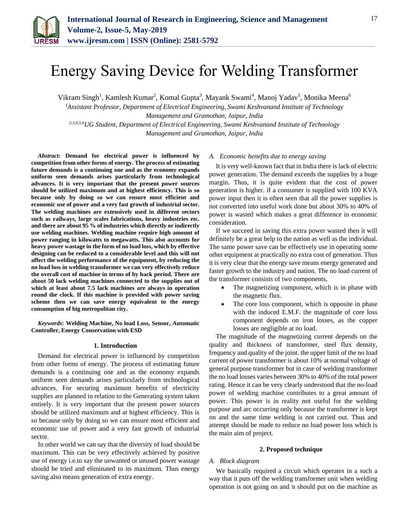

# Energy Saving Device for Welding Transformer

Vikram Singh<sup>1</sup>, Kamlesh Kumar<sup>2</sup>, Komal Gupta<sup>3</sup>, Mayank Swami<sup>4</sup>, Manoj Yadav<sup>5</sup>, Monika Meena<sup>6</sup>

*<sup>1</sup>Assistant Professor, Department of Electrical Engineering, Swami Keshvanand Institute of Technology Management and Gramothan, Jaipur, India 2,3,4,5,6UG Student, Department of Electrical Engineering, Swami Keshvanand Institute of Technology* 

*Management and Gramothan, Jaipur, India*

*Abstract***: Demand for electrical power is influenced by competition from other forms of energy. The process of estimating future demands is a continuing one and as the economy expands uniform seen demands arises particularly from technological advances. It is very important that the present power sources should be utilized maximum and at highest efficiency. This is so because only by doing so we can ensure most efficient and economic use of power and a very fast growth of industrial sector. The welding machines are extensively used in different sectors such as railways, large scales fabrications, heavy industries etc. and there are about 95 % of industries which directly or indirectly use welding machines. Welding machine require high amount of power ranging in kilowatts to megawatts. This also accounts for heavy power wastage in the form of no load loss, which by effective designing can be reduced to a considerable level and this will not affect the welding performance of the equipment, by reducing the no load loss in welding transformer we can very effectively reduce the overall cost of machine in terms of by back period. There are about 50 lack welding machines connected to the supplies out of which at least about 7.5 lack machines are always in operation round the clock. If this machine is provided with power saving scheme then we can save energy equivalent to the energy consumption of big metropolitan city.**

*Keywords***: Welding Machine, No load Loss, Sensor, Automatic Controller, Energy Conservation with ESD**

## **1. Introduction**

Demand for electrical power is influenced by competition from other forms of energy. The process of estimating future demands is a continuing one and as the economy expands uniform seen demands arises particularly from technological advances. For securing maximum benefits of electricity supplies are planned in relation to the Generating system taken entirely. It is very important that the present power sources should be utilized maximum and at highest efficiency. This is so because only by doing so we can ensure most efficient and economic use of power and a very fast growth of industrial sector.

In other world we can say that the diversity of load should be maximum. This can be very effectively achieved by positive use of energy i.e.to say the unwanted or unused power wastage should be tried and eliminated to its maximum. Thus energy saving also means generation of extra energy.

### *A. Economic benefits due to energy saving*

It is very well-known fact that in India there is lack of electric power generation. The demand exceeds the supplies by a huge margin. Thus, it is quite evident that the cost of power generation is higher. if a consumer is supplied with 100 KVA power input then it is often seen that all the power supplies is not converted into useful work done but about 30% to 40% of power is wasted which makes a great difference in economic consideration.

If we succeed in saving this extra power wasted then it will definitely be a great help to the nation as well as the individual. The same power save can be effectively use in operating some other equipment at practically no extra cost of generation. Thus it is very clear that the energy save means energy generated and faster growth to the industry and nation. The no load current of the transformer consists of two components,

- The magnetizing component, which is in phase with the magnetic flux.
- The core loss component, which is opposite in phase with the induced E.M.F. the magnitude of core loss component depends on iron losses, as the copper losses are negligible at no load.

The magnitude of the magnetizing current depends on the quality and thickness of transformer, steel flux density, frequency and quality of the joint. the upper limit of the no load current of power transformer is about 10% at normal voltage of general purpose transformer but in case of welding transformer the no load losses varies between 30% to 40% of the total power rating. Hence it can be very clearly understood that the no-load power of welding machine contributes to a great amount of power. This power is in reality not useful for the welding purpose and arc occurring only because the transformer is kept on and the same time welding is not carried out. Thus and attempt should be made to reduce no load power loss which is the main aim of project.

## **2. Proposed technique**

## *A. Block diagram*

We basically required a circuit which operates in a such a way that it puts off the welding transformer unit when welding operation is not going on and it should put on the machine as